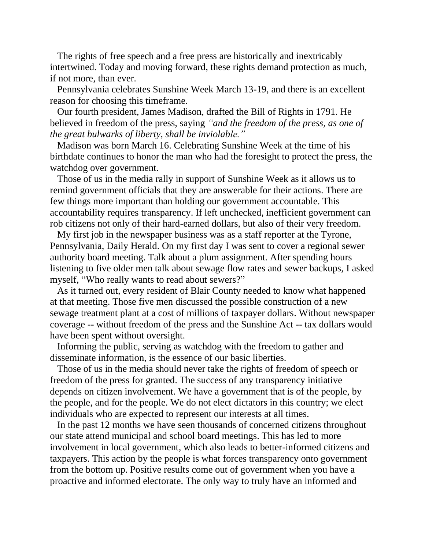The rights of free speech and a free press are historically and inextricably intertwined. Today and moving forward, these rights demand protection as much, if not more, than ever.

 Pennsylvania celebrates Sunshine Week March 13-19, and there is an excellent reason for choosing this timeframe.

 Our fourth president, James Madison, drafted the Bill of Rights in 1791. He believed in freedom of the press, saying *"and the freedom of the press, as one of the great bulwarks of liberty, shall be inviolable."*

 Madison was born March 16. Celebrating Sunshine Week at the time of his birthdate continues to honor the man who had the foresight to protect the press, the watchdog over government.

 Those of us in the media rally in support of Sunshine Week as it allows us to remind government officials that they are answerable for their actions. There are few things more important than holding our government accountable. This accountability requires transparency. If left unchecked, inefficient government can rob citizens not only of their hard-earned dollars, but also of their very freedom.

 My first job in the newspaper business was as a staff reporter at the Tyrone, Pennsylvania, Daily Herald. On my first day I was sent to cover a regional sewer authority board meeting. Talk about a plum assignment. After spending hours listening to five older men talk about sewage flow rates and sewer backups, I asked myself, "Who really wants to read about sewers?"

 As it turned out, every resident of Blair County needed to know what happened at that meeting. Those five men discussed the possible construction of a new sewage treatment plant at a cost of millions of taxpayer dollars. Without newspaper coverage -- without freedom of the press and the Sunshine Act -- tax dollars would have been spent without oversight.

 Informing the public, serving as watchdog with the freedom to gather and disseminate information, is the essence of our basic liberties.

 Those of us in the media should never take the rights of freedom of speech or freedom of the press for granted. The success of any transparency initiative depends on citizen involvement. We have a government that is of the people, by the people, and for the people. We do not elect dictators in this country; we elect individuals who are expected to represent our interests at all times.

 In the past 12 months we have seen thousands of concerned citizens throughout our state attend municipal and school board meetings. This has led to more involvement in local government, which also leads to better-informed citizens and taxpayers. This action by the people is what forces transparency onto government from the bottom up. Positive results come out of government when you have a proactive and informed electorate. The only way to truly have an informed and